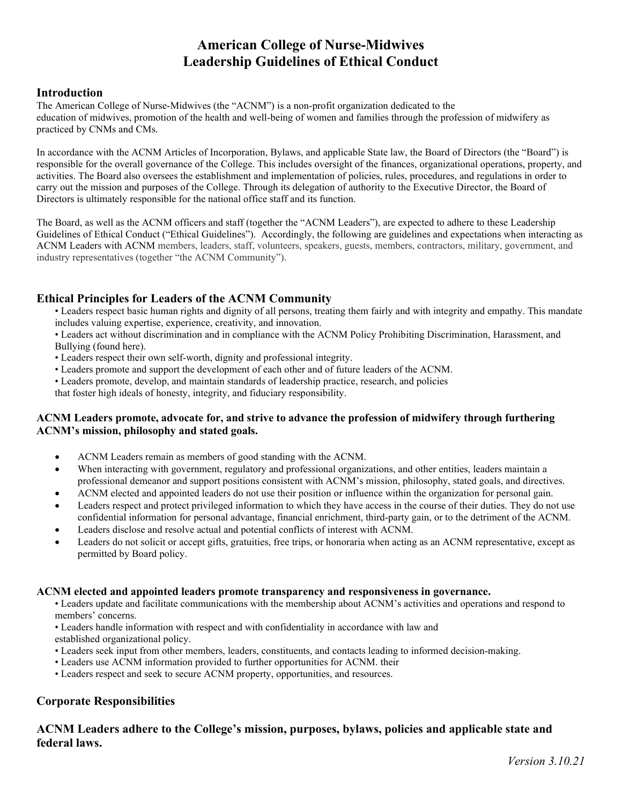# **American College of Nurse‐Midwives Leadership Guidelines of Ethical Conduct**

#### **Introduction**

The American College of Nurse-Midwives (the "ACNM") is a non-profit organization dedicated to the education of midwives, promotion of the health and well-being of women and families through the profession of midwifery as practiced by CNMs and CMs.

In accordance with the ACNM Articles of Incorporation, Bylaws, and applicable State law, the Board of Directors (the "Board") is responsible for the overall governance of the College. This includes oversight of the finances, organizational operations, property, and activities. The Board also oversees the establishment and implementation of policies, rules, procedures, and regulations in order to carry out the mission and purposes of the College. Through its delegation of authority to the Executive Director, the Board of Directors is ultimately responsible for the national office staff and its function.

The Board, as well as the ACNM officers and staff (together the "ACNM Leaders"), are expected to adhere to these Leadership Guidelines of Ethical Conduct ("Ethical Guidelines"). Accordingly, the following are guidelines and expectations when interacting as ACNM Leaders with ACNM members, leaders, staff, volunteers, speakers, guests, members, contractors, military, government, and industry representatives (together "the ACNM Community").

# **Ethical Principles for Leaders of the ACNM Community**

• Leaders respect basic human rights and dignity of all persons, treating them fairly and with integrity and empathy. This mandate includes valuing expertise, experience, creativity, and innovation.

• Leaders act without discrimination and in compliance with the ACNM Policy Prohibiting Discrimination, Harassment, and Bullying (found here).

- Leaders respect their own self-worth, dignity and professional integrity.
- Leaders promote and support the development of each other and of future leaders of the ACNM.
- Leaders promote, develop, and maintain standards of leadership practice, research, and policies

that foster high ideals of honesty, integrity, and fiduciary responsibility.

#### **ACNM Leaders promote, advocate for, and strive to advance the profession of midwifery through furthering ACNM's mission, philosophy and stated goals.**

- ACNM Leaders remain as members of good standing with the ACNM.
- When interacting with government, regulatory and professional organizations, and other entities, leaders maintain a professional demeanor and support positions consistent with ACNM's mission, philosophy, stated goals, and directives.
- ACNM elected and appointed leaders do not use their position or influence within the organization for personal gain.
- Leaders respect and protect privileged information to which they have access in the course of their duties. They do not use confidential information for personal advantage, financial enrichment, third‐party gain, or to the detriment of the ACNM.
- Leaders disclose and resolve actual and potential conflicts of interest with ACNM.
- Leaders do not solicit or accept gifts, gratuities, free trips, or honoraria when acting as an ACNM representative, except as permitted by Board policy.

#### **ACNM elected and appointed leaders promote transparency and responsiveness in governance.**

• Leaders update and facilitate communications with the membership about ACNM's activities and operations and respond to members' concerns.

• Leaders handle information with respect and with confidentiality in accordance with law and

established organizational policy.

- Leaders seek input from other members, leaders, constituents, and contacts leading to informed decision-making.
- Leaders use ACNM information provided to further opportunities for ACNM. their
- Leaders respect and seek to secure ACNM property, opportunities, and resources.

## **Corporate Responsibilities**

# **ACNM Leaders adhere to the College's mission, purposes, bylaws, policies and applicable state and federal laws.**